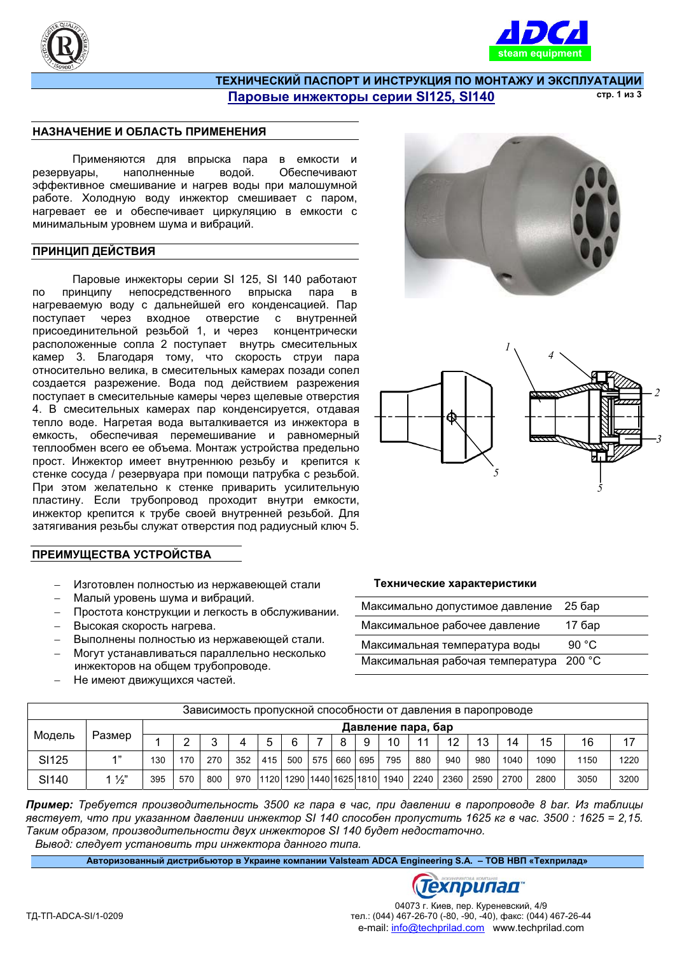



#### ТЕХНИЧЕСКИЙ ПАСПОРТ И ИНСТРУКЦИЯ ПО МОНТАЖУ И ЭКСПЛУАТАЦИИ Паровые инжекторы серии SI125, SI140 **cTD.** 1 *M3* 3

### НАЗНАЧЕНИЕ И ОБЛАСТЬ ПРИМЕНЕНИЯ

Применяются для впрыска пара в емкости и резервуары, наполненные водой, Обеспечивают зффективное смешивание и нагрев воды при малошумной работе. Холодную воду инжектор смешивает с паром, нагревает ее и обеспечивает циркуляцию в емкости с минимальным уровнем шума и вибраций.

#### ПРИНЦИП ДЕЙСТВИЯ

Паровые инжекторы серии SI 125, SI 140 работают по принципу непосредственного впрыска пара в нагреваемую воду с дальнейшей его конденсацией. Пар поступает через входное отверстие с внутренней присоединительной резьбой 1, и через концентрически расположенные сопла 2 поступает внутрь смесительных камер 3. Благодаря тому, что скорость струи пара относительно велика, в смесительных камерах позади сопел создается разрежение. Вода под действием разрежения поступает в смесительные камеры через щелевые отверстия 4. В смесительных камерах пар конденсируется, отдавая тепло воде. Нагретая вода выталкивается из инжектора в емкость, обеспечивая перемешивание и равномерный теплообмен всего ее объема. Монтаж устройства предельно прост. Инжектор имеет внутреннюю резьбу и крепится к стенке сосуда / резервуара при помощи патрубка с резьбой. При этом желательно к стенке приварить усилительную пластину. Если трубопровод проходит внутри емкости, инжектор крепится к трубе своей внутренней резьбой. Для затягивания резьбы служат отверстия под радиусный ключ 5.

## ПРЕИМУЩЕСТВА УСТРОЙСТВА

- Изготовлен полностью из нержавеющей стали
- Малый уровень шума и вибраций.
- Простота конструкции и легкость в обслуживании.
- Высокая скорость нагрева.
- Выполнены полностью из нержавеющей стали.
- Могут устанавливаться параллельно несколько инжекторов на общем трубопроводе.
- Не имеют движущихся частей.





#### Технические характеристики

| Максимально допустимое давление         | $256$ ap        |
|-----------------------------------------|-----------------|
| Максимальное рабочее давление           | 17 бар          |
| Максимальная температура воды           | 90 $^{\circ}$ C |
| Максимальная рабочая температура 200 °С |                 |

| Зависимость пропускной способности от давления в паропроводе |                |                    |     |     |     |     |     |     |     |     |                                  |      |      |      |      |      |      |      |
|--------------------------------------------------------------|----------------|--------------------|-----|-----|-----|-----|-----|-----|-----|-----|----------------------------------|------|------|------|------|------|------|------|
| Модель                                                       | Размер         | Давление пара, бар |     |     |     |     |     |     |     |     |                                  |      |      |      |      |      |      |      |
|                                                              |                |                    |     | ◠   |     | 5   | 6   |     | 8   | -9  | 10                               | 11   | 12   | 13   | 14   | 15   | 16   |      |
| SI <sub>125</sub>                                            | 4"             | 130                | 170 | 270 | 352 | 415 | 500 | 575 | 660 | 695 | 795                              | 880  | 940  | 980  | 1040 | 1090 | 1150 | 1220 |
| SI140                                                        | $1\frac{1}{2}$ | 395                | 570 | 800 | 970 |     |     |     |     |     | 1120  1290  1440 1625 1810  1940 | 2240 | 2360 | 2590 | 2700 | 2800 | 3050 | 3200 |

**Пример:** Требуется производительность 3500 кг пара в час, при давлении в паропроводе 8 bar. Из таблицы *ɹɜɫɬɜɭɟɬ, ɱɬɨ ɩɪɢ ɭɤɚɡɚɧɧɨɦ ɞɚɜɥɟɧɢɢ ɢɧɠɟɤɬɨɪ SI 140 ɫɩɨɫɨɛɟɧ ɩɪɨɩɭɫɬɢɬɶ 1625 ɤɝ ɜ ɱɚɫ. 3500 : 1625 = 2,15.* Таким образом, производительности двух инжекторов SI 140 будет недостаточно.  $B$ ывод: следует установить три инжектора данного типа.

**Ⱥɜɬɨɪɢɡɨɜɚɧɧɵɣ ɞɢɫɬɪɢɛɶɸɬɨɪ ɜ ɍɤɪɚɢɧɟ ɤɨɦɩɚɧɢɢ Valsteam ADCA Engineering S.A. – ɌɈȼ ɇȼɉ «Ɍɟɯɩɪɢɥɚɞ»**

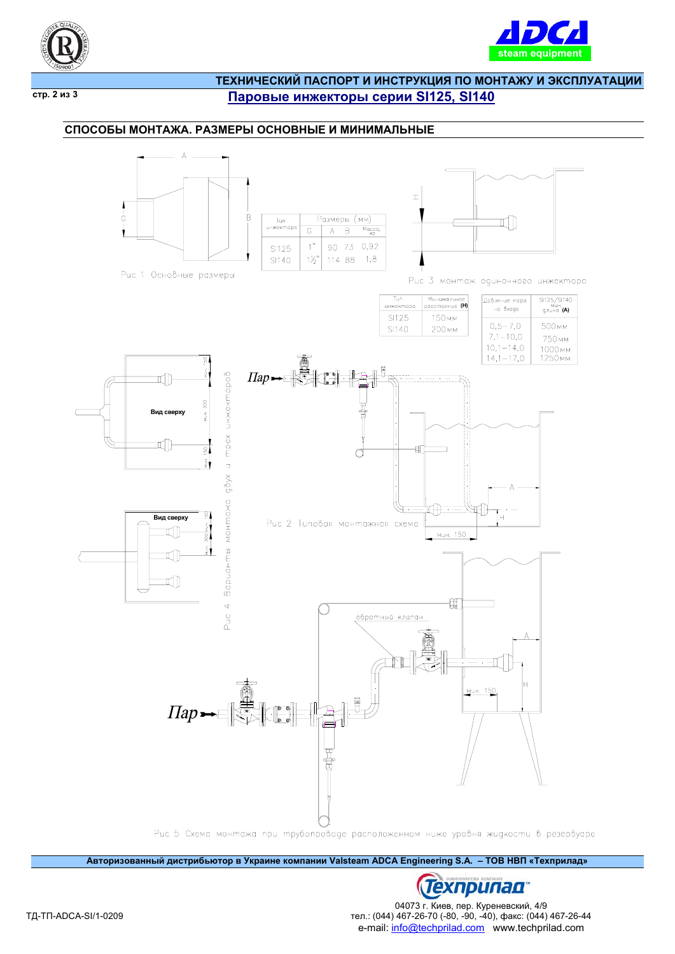



 $\overline{CTP}$ . 2 из 3

# ТЕХНИЧЕСКИЙ ПАСПОРТ И ИНСТРУКЦИЯ ПО МОНТАЖУ И ЭКСПЛУАТАЦИИ Паровые инжекторы серии SI125, SI140

## СПОСОБЫ МОНТАЖА. РАЗМЕРЫ ОСНОВНЫЕ И МИНИМАЛЬНЫЕ



Авторизованный дистрибьютор в Украине компании Valsteam ADCA Engineering S.A. - ТОВ НВП «Техприлад»